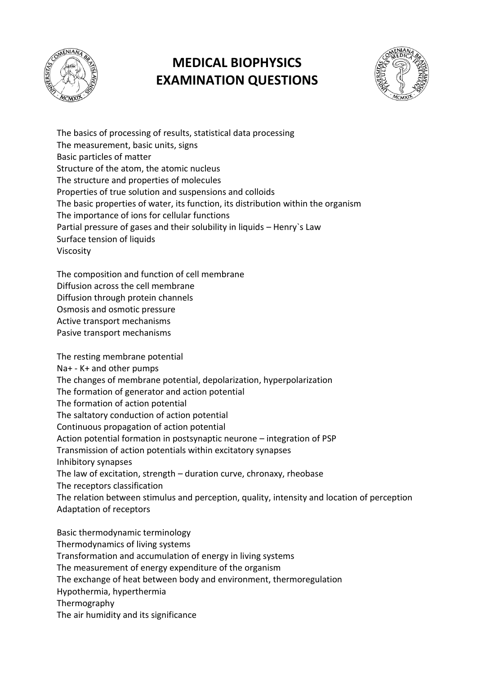

## **MEDICAL BIOPHYSICS EXAMINATION QUESTIONS**



The basics of processing of results, statistical data processing The measurement, basic units, signs Basic particles of matter Structure of the atom, the atomic nucleus The structure and properties of molecules Properties of true solution and suspensions and colloids The basic properties of water, its function, its distribution within the organism The importance of ions for cellular functions Partial pressure of gases and their solubility in liquids – Henry`s Law Surface tension of liquids Viscosity

The composition and function of cell membrane Diffusion across the cell membrane Diffusion through protein channels Osmosis and osmotic pressure Active transport mechanisms Pasive transport mechanisms

The resting membrane potential Na+ - K+ and other pumps The changes of membrane potential, depolarization, hyperpolarization The formation of generator and action potential The formation of action potential The saltatory conduction of action potential Continuous propagation of action potential Action potential formation in postsynaptic neurone – integration of PSP Transmission of action potentials within excitatory synapses Inhibitory synapses The law of excitation, strength – duration curve, chronaxy, rheobase The receptors classification The relation between stimulus and perception, quality, intensity and location of perception Adaptation of receptors

Basic thermodynamic terminology Thermodynamics of living systems Transformation and accumulation of energy in living systems The measurement of energy expenditure of the organism The exchange of heat between body and environment, thermoregulation Hypothermia, hyperthermia Thermography The air humidity and its significance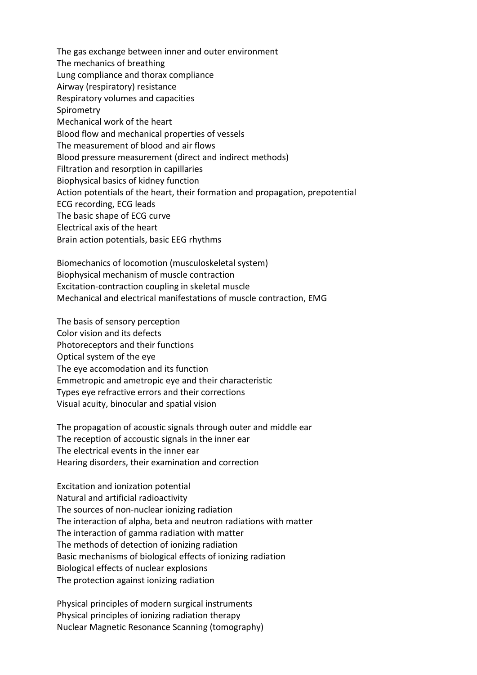The gas exchange between inner and outer environment The mechanics of breathing Lung compliance and thorax compliance Airway (respiratory) resistance Respiratory volumes and capacities Spirometry Mechanical work of the heart Blood flow and mechanical properties of vessels The measurement of blood and air flows Blood pressure measurement (direct and indirect methods) Filtration and resorption in capillaries Biophysical basics of kidney function Action potentials of the heart, their formation and propagation, prepotential ECG recording, ECG leads The basic shape of ECG curve Electrical axis of the heart Brain action potentials, basic EEG rhythms

Biomechanics of locomotion (musculoskeletal system) Biophysical mechanism of muscle contraction Excitation-contraction coupling in skeletal muscle Mechanical and electrical manifestations of muscle contraction, EMG

The basis of sensory perception Color vision and its defects Photoreceptors and their functions Optical system of the eye The eye accomodation and its function Emmetropic and ametropic eye and their characteristic Types eye refractive errors and their corrections Visual acuity, binocular and spatial vision

The propagation of acoustic signals through outer and middle ear The reception of accoustic signals in the inner ear The electrical events in the inner ear Hearing disorders, their examination and correction

Excitation and ionization potential Natural and artificial radioactivity The sources of non-nuclear ionizing radiation The interaction of alpha, beta and neutron radiations with matter The interaction of gamma radiation with matter The methods of detection of ionizing radiation Basic mechanisms of biological effects of ionizing radiation Biological effects of nuclear explosions The protection against ionizing radiation

Physical principles of modern surgical instruments Physical principles of ionizing radiation therapy Nuclear Magnetic Resonance Scanning (tomography)